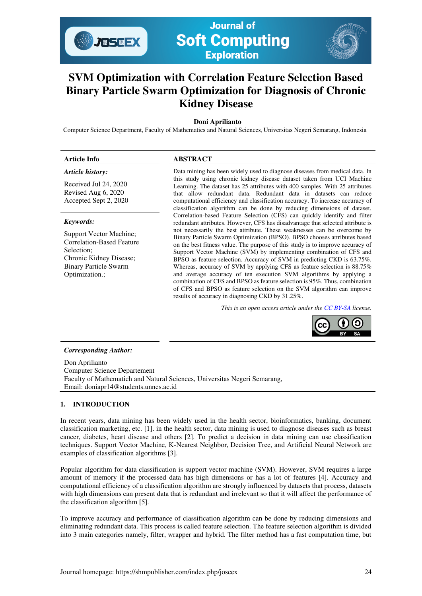

**Journal of Soft Computing Exploration** 

## **SVM Optimization with Correlation Feature Selection Based Binary Particle Swarm Optimization for Diagnosis of Chronic Kidney Disease**

## **Doni Aprilianto**

Computer Science Department, Faculty of Mathematics and Natural Sciences, Universitas Negeri Semarang, Indonesia

# **Article Info ABSTRACT**

## *Article history:*

Received Jul 24, 2020 Revised Aug 6, 2020 Accepted Sept 2, 2020

#### *Keywords:*

Support Vector Machine; Correlation-Based Feature Selection; Chronic Kidney Disease; Binary Particle Swarm Optimization.;

Data mining has been widely used to diagnose diseases from medical data. In this study using chronic kidney disease dataset taken from UCI Machine Learning. The dataset has 25 attributes with 400 samples. With 25 attributes that allow redundant data. Redundant data in datasets can reduce computational efficiency and classification accuracy. To increase accuracy of classification algorithm can be done by reducing dimensions of dataset. Correlation-based Feature Selection (CFS) can quickly identify and filter redundant attributes. However, CFS has disadvantage that selected attribute is not necessarily the best attribute. These weaknesses can be overcome by Binary Particle Swarm Optimization (BPSO). BPSO chooses attributes based on the best fitness value. The purpose of this study is to improve accuracy of Support Vector Machine (SVM) by implementing combination of CFS and BPSO as feature selection. Accuracy of SVM in predicting CKD is 63.75%. Whereas, accuracy of SVM by applying CFS as feature selection is 88.75% and average accuracy of ten execution SVM algorithms by applying a combination of CFS and BPSO as feature selection is 95%. Thus, combination of CFS and BPSO as feature selection on the SVM algorithm can improve results of accuracy in diagnosing CKD by 31.25%.

*This is an open access article under th[e CC BY-SA](https://creativecommons.org/licenses/by-sa/4.0/) license.* 



#### *Corresponding Author:*

Don Aprilianto Computer Science Departement Faculty of Mathematich and Natural Sciences, Universitas Negeri Semarang, Email: doniapr14@students.unnes.ac.id

## **1. INTRODUCTION**

In recent years, data mining has been widely used in the health sector, bioinformatics, banking, document classification marketing, etc. [1]. in the health sector, data mining is used to diagnose diseases such as breast cancer, diabetes, heart disease and others [2]. To predict a decision in data mining can use classification techniques. Support Vector Machine, K-Nearest Neighbor, Decision Tree, and Artificial Neural Network are examples of classification algorithms [3].

Popular algorithm for data classification is support vector machine (SVM). However, SVM requires a large amount of memory if the processed data has high dimensions or has a lot of features [4]. Accuracy and computational efficiency of a classification algorithm are strongly influenced by datasets that process, datasets with high dimensions can present data that is redundant and irrelevant so that it will affect the performance of the classification algorithm [5].

To improve accuracy and performance of classification algorithm can be done by reducing dimensions and eliminating redundant data. This process is called feature selection. The feature selection algorithm is divided into 3 main categories namely, filter, wrapper and hybrid. The filter method has a fast computation time, but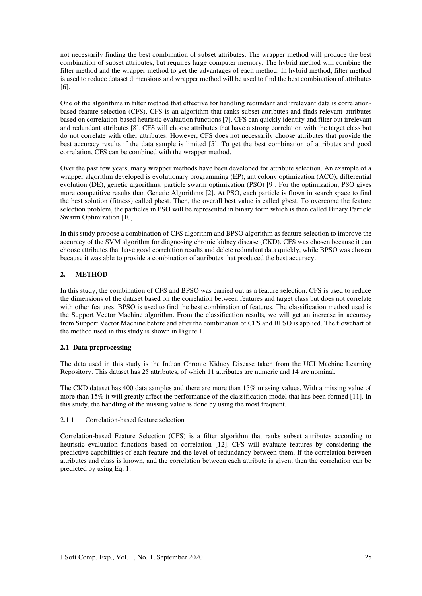not necessarily finding the best combination of subset attributes. The wrapper method will produce the best combination of subset attributes, but requires large computer memory. The hybrid method will combine the filter method and the wrapper method to get the advantages of each method. In hybrid method, filter method is used to reduce dataset dimensions and wrapper method will be used to find the best combination of attributes [6].

One of the algorithms in filter method that effective for handling redundant and irrelevant data is correlationbased feature selection (CFS). CFS is an algorithm that ranks subset attributes and finds relevant attributes based on correlation-based heuristic evaluation functions [7]. CFS can quickly identify and filter out irrelevant and redundant attributes [8]. CFS will choose attributes that have a strong correlation with the target class but do not correlate with other attributes. However, CFS does not necessarily choose attributes that provide the best accuracy results if the data sample is limited [5]. To get the best combination of attributes and good correlation, CFS can be combined with the wrapper method.

Over the past few years, many wrapper methods have been developed for attribute selection. An example of a wrapper algorithm developed is evolutionary programming (EP), ant colony optimization (ACO), differential evolution (DE), genetic algorithms, particle swarm optimization (PSO) [9]. For the optimization, PSO gives more competitive results than Genetic Algorithms [2]. At PSO, each particle is flown in search space to find the best solution (fitness) called pbest. Then, the overall best value is called gbest. To overcome the feature selection problem, the particles in PSO will be represented in binary form which is then called Binary Particle Swarm Optimization [10].

In this study propose a combination of CFS algorithm and BPSO algorithm as feature selection to improve the accuracy of the SVM algorithm for diagnosing chronic kidney disease (CKD). CFS was chosen because it can choose attributes that have good correlation results and delete redundant data quickly, while BPSO was chosen because it was able to provide a combination of attributes that produced the best accuracy.

## **2. METHOD**

In this study, the combination of CFS and BPSO was carried out as a feature selection. CFS is used to reduce the dimensions of the dataset based on the correlation between features and target class but does not correlate with other features. BPSO is used to find the best combination of features. The classification method used is the Support Vector Machine algorithm. From the classification results, we will get an increase in accuracy from Support Vector Machine before and after the combination of CFS and BPSO is applied. The flowchart of the method used in this study is shown in Figure 1.

## **2.1 Data preprocessing**

The data used in this study is the Indian Chronic Kidney Disease taken from the UCI Machine Learning Repository. This dataset has 25 attributes, of which 11 attributes are numeric and 14 are nominal.

The CKD dataset has 400 data samples and there are more than 15% missing values. With a missing value of more than 15% it will greatly affect the performance of the classification model that has been formed [11]. In this study, the handling of the missing value is done by using the most frequent*.* 

## 2.1.1 Correlation-based feature selection

Correlation-based Feature Selection (CFS) is a filter algorithm that ranks subset attributes according to heuristic evaluation functions based on correlation [12]. CFS will evaluate features by considering the predictive capabilities of each feature and the level of redundancy between them. If the correlation between attributes and class is known, and the correlation between each attribute is given, then the correlation can be predicted by using Eq. 1.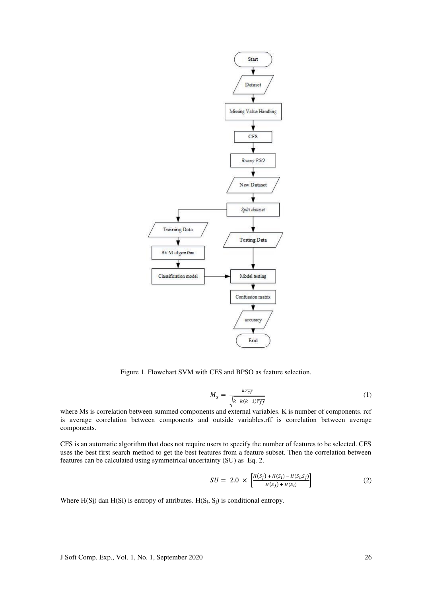

Figure 1. Flowchart SVM with CFS and BPSO as feature selection.

$$
M_{s} = \frac{k\overline{r_{cf}}}{\sqrt{k + k(k-1)\overline{r_{ff}}}}
$$
(1)

where Ms is correlation between summed components and external variables. K is number of components. rcf is average correlation between components and outside variables.rff is correlation between average components.

CFS is an automatic algorithm that does not require users to specify the number of features to be selected. CFS uses the best first search method to get the best features from a feature subset. Then the correlation between features can be calculated using symmetrical uncertainty (SU) as Eq. 2.

$$
SU = 2.0 \times \left[ \frac{H(s_j) + H(s_i) - H(s_i, s_j)}{H(s_j) + H(s_i)} \right]
$$
 (2)

Where  $H(Sj)$  dan  $H(Si)$  is entropy of attributes.  $H(S_i, S_j)$  is conditional entropy.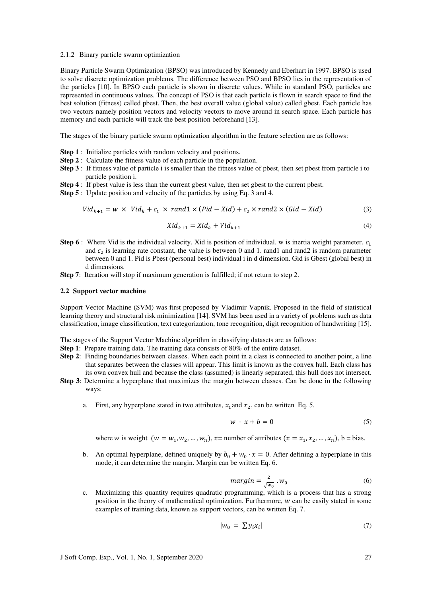#### 2.1.2 Binary particle swarm optimization

Binary Particle Swarm Optimization (BPSO) was introduced by Kennedy and Eberhart in 1997. BPSO is used to solve discrete optimization problems. The difference between PSO and BPSO lies in the representation of the particles [10]. In BPSO each particle is shown in discrete values. While in standard PSO, particles are represented in continuous values. The concept of PSO is that each particle is flown in search space to find the best solution (fitness) called pbest. Then, the best overall value (global value) called gbest. Each particle has two vectors namely position vectors and velocity vectors to move around in search space. Each particle has memory and each particle will track the best position beforehand [13].

The stages of the binary particle swarm optimization algorithm in the feature selection are as follows:

- **Step 1** : Initialize particles with random velocity and positions.
- **Step 2** : Calculate the fitness value of each particle in the population.
- **Step 3** : If fitness value of particle i is smaller than the fitness value of pbest, then set pbest from particle i to particle position i.
- **Step 4** : If pbest value is less than the current gbest value, then set gbest to the current pbest.
- **Step 5** : Update position and velocity of the particles by using Eq. 3 and 4.

$$
Vid_{k+1} = w \times Vid_k + c_1 \times rand1 \times (Pid - Xid) + c_2 \times rand2 \times (Gid - Xid)
$$
 (3)

$$
Xid_{k+1} = Xid_k + Vid_{k+1}
$$
\n<sup>(4)</sup>

- **Step 6** : Where Vid is the individual velocity. Xid is position of individual. w is inertia weight parameter.  $c_1$ and  $c_2$  is learning rate constant, the value is between 0 and 1. rand1 and rand2 is random parameter between 0 and 1. Pid is Pbest (personal best) individual i in d dimension. Gid is Gbest (global best) in d dimensions.
- **Step 7:** Iteration will stop if maximum generation is fulfilled; if not return to step 2.

#### **2.2 Support vector machine**

Support Vector Machine (SVM) was first proposed by Vladimir Vapnik. Proposed in the field of statistical learning theory and structural risk minimization [14]. SVM has been used in a variety of problems such as data classification, image classification, text categorization, tone recognition, digit recognition of handwriting [15].

The stages of the Support Vector Machine algorithm in classifying datasets are as follows:

- **Step 1**: Prepare training data. The training data consists of 80% of the entire dataset.
- **Step 2**: Finding boundaries between classes. When each point in a class is connected to another point, a line that separates between the classes will appear. This limit is known as the convex hull. Each class has its own convex hull and because the class (assumed) is linearly separated, this hull does not intersect.
- **Step 3**: Determine a hyperplane that maximizes the margin between classes. Can be done in the following ways:
	- a. First, any hyperplane stated in two attributes,  $x_1$  and  $x_2$ , can be written Eq. 5.

$$
w \cdot x + b = 0 \tag{5}
$$

where *w* is weight  $(w = w_1, w_2, ..., w_n)$ ,  $x$ = number of attributes  $(x = x_1, x_2, ..., x_n)$ , b = bias.

b. An optimal hyperplane, defined uniquely by  $b_0 + w_0 \cdot x = 0$ . After defining a hyperplane in this mode, it can determine the margin. Margin can be written Eq. 6.

$$
margin = \frac{2}{\sqrt{w_0}} \cdot w_0 \tag{6}
$$

c. Maximizing this quantity requires quadratic programming, which is a process that has a strong position in the theory of mathematical optimization. Furthermore,  $w$  can be easily stated in some examples of training data, known as support vectors, can be written Eq. 7.

$$
|w_0| = \sum y_i x_i| \tag{7}
$$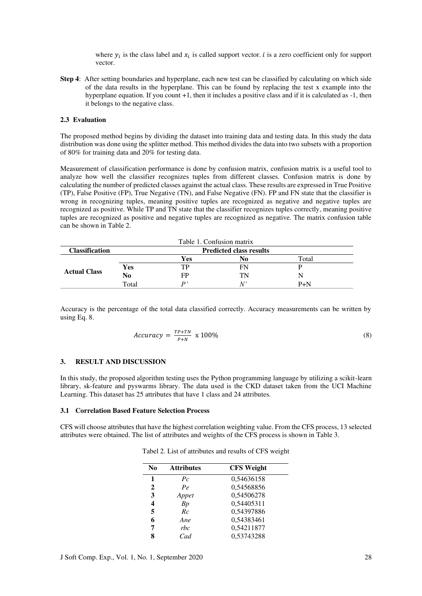where  $y_i$  is the class label and  $x_i$  is called support vector. *i* is a zero coefficient only for support vector.

**Step 4**: After setting boundaries and hyperplane, each new test can be classified by calculating on which side of the data results in the hyperplane. This can be found by replacing the test x example into the hyperplane equation. If you count  $+1$ , then it includes a positive class and if it is calculated as  $-1$ , then it belongs to the negative class.

## **2.3 Evaluation**

The proposed method begins by dividing the dataset into training data and testing data. In this study the data distribution was done using the splitter method. This method divides the data into two subsets with a proportion of 80% for training data and 20% for testing data.

Measurement of classification performance is done by confusion matrix, confusion matrix is a useful tool to analyze how well the classifier recognizes tuples from different classes. Confusion matrix is done by calculating the number of predicted classes against the actual class. These results are expressed in True Positive (TP), False Positive (FP), True Negative (TN), and False Negative (FN). FP and FN state that the classifier is wrong in recognizing tuples, meaning positive tuples are recognized as negative and negative tuples are recognized as positive. While TP and TN state that the classifier recognizes tuples correctly, meaning positive tuples are recognized as positive and negative tuples are recognized as negative. The matrix confusion table can be shown in Table 2.

| Table 1. Confusion matrix |       |     |                                |       |  |
|---------------------------|-------|-----|--------------------------------|-------|--|
| <b>Classification</b>     |       |     | <b>Predicted class results</b> |       |  |
| <b>Actual Class</b>       |       | Yes | No                             | Total |  |
|                           | Yes   | тp  | FN                             |       |  |
|                           | No    | FP  | TN                             |       |  |
|                           | Total | D,  | N                              | $P+N$ |  |

Accuracy is the percentage of the total data classified correctly. Accuracy measurements can be written by using Eq. 8.

$$
Accuracy = \frac{TP + TN}{P + N} \times 100\% \tag{8}
$$

#### **3. RESULT AND DISCUSSION**

In this study, the proposed algorithm testing uses the Python programming language by utilizing a scikit-learn library, sk-feature and pyswarms library. The data used is the CKD dataset taken from the UCI Machine Learning. This dataset has 25 attributes that have 1 class and 24 attributes.

#### **3.1 Correlation Based Feature Selection Process**

CFS will choose attributes that have the highest correlation weighting value. From the CFS process, 13 selected attributes were obtained. The list of attributes and weights of the CFS process is shown in Table 3.

| N <sub>0</sub> | <b>Attributes</b> | <b>CFS</b> Weight |
|----------------|-------------------|-------------------|
|                | $P_{\mathcal{C}}$ | 0,54636158        |
| 2              | Pe                | 0,54568856        |
| 3              | Appet             | 0,54506278        |
| 4              | Bp                | 0,54405311        |
| 5              | Rc                | 0,54397886        |
| 6              | Ane               | 0,54383461        |
| 7              | rbc               | 0,54211877        |
| 8              | Cad               | 0,53743288        |

Tabel 2. List of attributes and results of CFS weight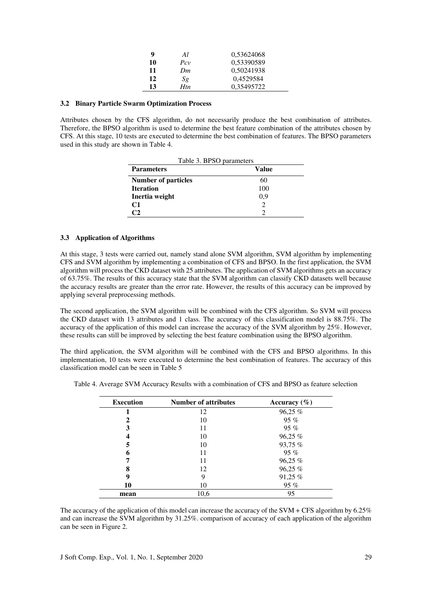| q  | Al  | 0,53624068 |
|----|-----|------------|
| 10 | Pcv | 0,53390589 |
| 11 | Dm. | 0,50241938 |
| 12 | Sg  | 0,4529584  |
| 13 | Htn | 0,35495722 |

### **3.2 Binary Particle Swarm Optimization Process**

Attributes chosen by the CFS algorithm, do not necessarily produce the best combination of attributes. Therefore, the BPSO algorithm is used to determine the best feature combination of the attributes chosen by CFS. At this stage, 10 tests are executed to determine the best combination of features. The BPSO parameters used in this study are shown in Table 4.

| Table 3. BPSO parameters   |       |  |  |  |
|----------------------------|-------|--|--|--|
| <b>Parameters</b>          | Value |  |  |  |
| <b>Number of particles</b> | 60    |  |  |  |
| <b>Iteration</b>           | 100   |  |  |  |
| Inertia weight             | 0,9   |  |  |  |
| C <sub>1</sub>             |       |  |  |  |
| rາ                         |       |  |  |  |

#### **3.3 Application of Algorithms**

At this stage, 3 tests were carried out, namely stand alone SVM algorithm, SVM algorithm by implementing CFS and SVM algorithm by implementing a combination of CFS and BPSO. In the first application, the SVM algorithm will process the CKD dataset with 25 attributes. The application of SVM algorithms gets an accuracy of 63.75%. The results of this accuracy state that the SVM algorithm can classify CKD datasets well because the accuracy results are greater than the error rate. However, the results of this accuracy can be improved by applying several preprocessing methods.

The second application, the SVM algorithm will be combined with the CFS algorithm. So SVM will process the CKD dataset with 13 attributes and 1 class. The accuracy of this classification model is 88.75%. The accuracy of the application of this model can increase the accuracy of the SVM algorithm by 25%. However, these results can still be improved by selecting the best feature combination using the BPSO algorithm.

The third application, the SVM algorithm will be combined with the CFS and BPSO algorithms. In this implementation, 10 tests were executed to determine the best combination of features. The accuracy of this classification model can be seen in Table 5

|  | Table 4. Average SVM Accuracy Results with a combination of CFS and BPSO as feature selection |  |  |  |  |  |  |  |  |  |
|--|-----------------------------------------------------------------------------------------------|--|--|--|--|--|--|--|--|--|
|--|-----------------------------------------------------------------------------------------------|--|--|--|--|--|--|--|--|--|

| <b>Execution</b> | <b>Number of attributes</b> | Accuracy $(\% )$ |  |  |
|------------------|-----------------------------|------------------|--|--|
|                  | 12                          | 96,25 %          |  |  |
| 2                | 10                          | 95%              |  |  |
|                  | 11                          | 95%              |  |  |
| 4                | 10                          | 96,25 %          |  |  |
| 5                | 10                          | 93,75 %          |  |  |
| 6                | 11                          | 95%              |  |  |
|                  | 11                          | 96,25 %          |  |  |
| 8                | 12                          | 96,25 %          |  |  |
| 9                | 9                           | 91,25 %          |  |  |
| 10               | 10                          | 95%              |  |  |
| mean             | 10,6                        | 95               |  |  |

The accuracy of the application of this model can increase the accuracy of the SVM + CFS algorithm by 6.25% and can increase the SVM algorithm by 31.25%. comparison of accuracy of each application of the algorithm can be seen in Figure 2.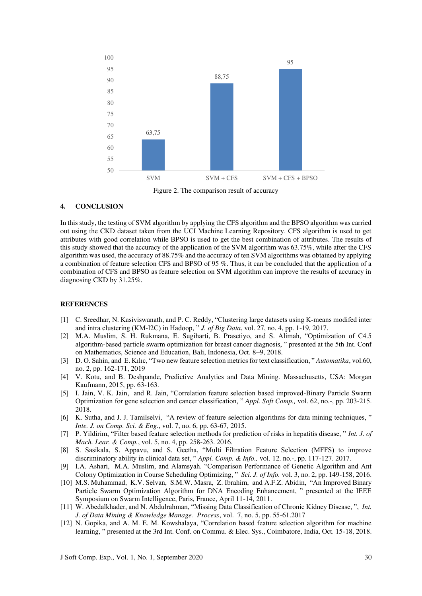

Figure 2. The comparison result of accuracy

## **4. CONCLUSION**

In this study, the testing of SVM algorithm by applying the CFS algorithm and the BPSO algorithm was carried out using the CKD dataset taken from the UCI Machine Learning Repository. CFS algorithm is used to get attributes with good correlation while BPSO is used to get the best combination of attributes. The results of this study showed that the accuracy of the application of the SVM algorithm was 63.75%, while after the CFS algorithm was used, the accuracy of 88.75% and the accuracy of ten SVM algorithms was obtained by applying a combination of feature selection CFS and BPSO of 95 %. Thus, it can be concluded that the application of a combination of CFS and BPSO as feature selection on SVM algorithm can improve the results of accuracy in diagnosing CKD by 31.25%.

#### **REFERENCES**

- [1] C. Sreedhar, N. Kasiviswanath, and P. C. Reddy, "Clustering large datasets using K-means modifed inter and intra clustering (KM‑I2C) in Hadoop, " *J. of Big Data*, vol. 27, no. 4, pp. 1-19, 2017.
- [2] M.A. Muslim, S. H. Rukmana, E. Sugiharti, B. Prasetiyo, and S. Alimah, "Optimization of C4.5 algorithm-based particle swarm optimization for breast cancer diagnosis, " presented at the 5th Int. Conf on Mathematics, Science and Education, Bali, Indonesia, Oct. 8–9, 2018.
- [3] D. O. Sahin, and E. Kılıc, "Two new feature selection metrics for text classification, " *Automatika*, vol.60, no. 2, pp. 162-171, 2019
- [4] V. Kotu, and B. Deshpande, Predictive Analytics and Data Mining*.* Massachusetts, USA: Morgan Kaufmann, 2015, pp. 63-163.
- [5] I. Jain, V. K. Jain, and R. Jain, "Correlation feature selection based improved-Binary Particle Swarm Optimization for gene selection and cancer classification, " *Appl. Soft Comp.,* vol. 62, no.-, pp. 203-215. 2018.
- [6] K. Sutha, and J. J. Tamilselvi, "A review of feature selection algorithms for data mining techniques, " *Inte. J. on Comp. Sci. & Eng.*, vol. 7, no. 6, pp. 63-67, 2015.
- [7] P. Yildirim, "Filter based feature selection methods for prediction of risks in hepatitis disease, " *Int. J. of Mach. Lear. & Comp.*, vol. 5, no. 4, pp. 258-263. 2016.
- [8] S. Sasikala, S. Appavu, and S. Geetha, "Multi Filtration Feature Selection (MFFS) to improve discriminatory ability in clinical data set, " *Appl. Comp. & Info.,* vol. 12. no.-, pp. 117-127. 2017.
- [9] I.A. Ashari, M.A. Muslim, and Alamsyah. "Comparison Performance of Genetic Algorithm and Ant Colony Optimization in Course Scheduling Optimizing, " *Sci. J. of Info.* vol. 3, no. 2, pp. 149-158, 2016.
- [10] M.S. Muhammad, K.V. Selvan, S.M.W. Masra, Z. Ibrahim, and A.F.Z. Abidin, "An Improved Binary Particle Swarm Optimization Algorithm for DNA Encoding Enhancement, " presented at the IEEE Symposium on Swarm Intelligence, Paris, France, April 11-14, 2011.
- [11] W. Abedalkhader, and N. Abdulrahman, "Missing Data Classification of Chronic Kidney Disease, ", *Int. J. of Data Mining & Knowledge Manage. Process*, vol. 7, no. 5, pp. 55-61.2017
- [12] N. [Gopika,](https://ieeexplore.ieee.org/author/37086847128) and [A. M. E. M. Kowshalaya,](https://ieeexplore.ieee.org/author/37086848985) "Correlation based feature selection algorithm for machine learning, " presented at the 3rd Int. Conf. on Commu. & Elec. Sys., Coimbatore, India, Oct. 15-18, 2018.